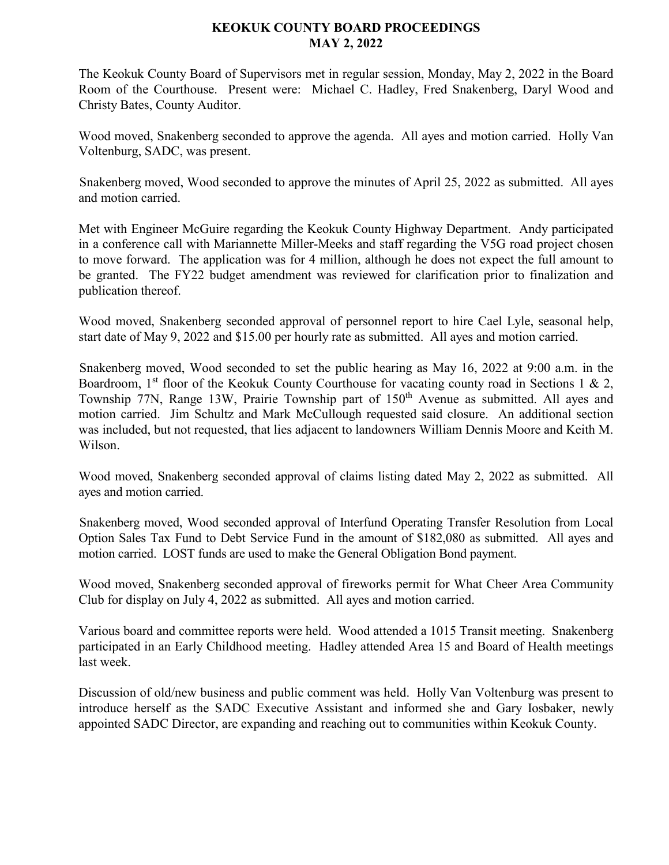## **KEOKUK COUNTY BOARD PROCEEDINGS MAY 2, 2022**

The Keokuk County Board of Supervisors met in regular session, Monday, May 2, 2022 in the Board Room of the Courthouse. Present were: Michael C. Hadley, Fred Snakenberg, Daryl Wood and Christy Bates, County Auditor.

Wood moved, Snakenberg seconded to approve the agenda. All ayes and motion carried. Holly Van Voltenburg, SADC, was present.

Snakenberg moved, Wood seconded to approve the minutes of April 25, 2022 as submitted. All ayes and motion carried.

Met with Engineer McGuire regarding the Keokuk County Highway Department. Andy participated in a conference call with Mariannette Miller-Meeks and staff regarding the V5G road project chosen to move forward. The application was for 4 million, although he does not expect the full amount to be granted. The FY22 budget amendment was reviewed for clarification prior to finalization and publication thereof.

Wood moved, Snakenberg seconded approval of personnel report to hire Cael Lyle, seasonal help, start date of May 9, 2022 and \$15.00 per hourly rate as submitted. All ayes and motion carried.

Snakenberg moved, Wood seconded to set the public hearing as May 16, 2022 at 9:00 a.m. in the Boardroom, 1<sup>st</sup> floor of the Keokuk County Courthouse for vacating county road in Sections 1 & 2, Township 77N, Range 13W, Prairie Township part of 150<sup>th</sup> Avenue as submitted. All ayes and motion carried. Jim Schultz and Mark McCullough requested said closure. An additional section was included, but not requested, that lies adjacent to landowners William Dennis Moore and Keith M. Wilson.

Wood moved, Snakenberg seconded approval of claims listing dated May 2, 2022 as submitted. All ayes and motion carried.

Snakenberg moved, Wood seconded approval of Interfund Operating Transfer Resolution from Local Option Sales Tax Fund to Debt Service Fund in the amount of \$182,080 as submitted. All ayes and motion carried. LOST funds are used to make the General Obligation Bond payment.

Wood moved, Snakenberg seconded approval of fireworks permit for What Cheer Area Community Club for display on July 4, 2022 as submitted. All ayes and motion carried.

Various board and committee reports were held. Wood attended a 1015 Transit meeting. Snakenberg participated in an Early Childhood meeting. Hadley attended Area 15 and Board of Health meetings last week.

Discussion of old/new business and public comment was held. Holly Van Voltenburg was present to introduce herself as the SADC Executive Assistant and informed she and Gary Iosbaker, newly appointed SADC Director, are expanding and reaching out to communities within Keokuk County.